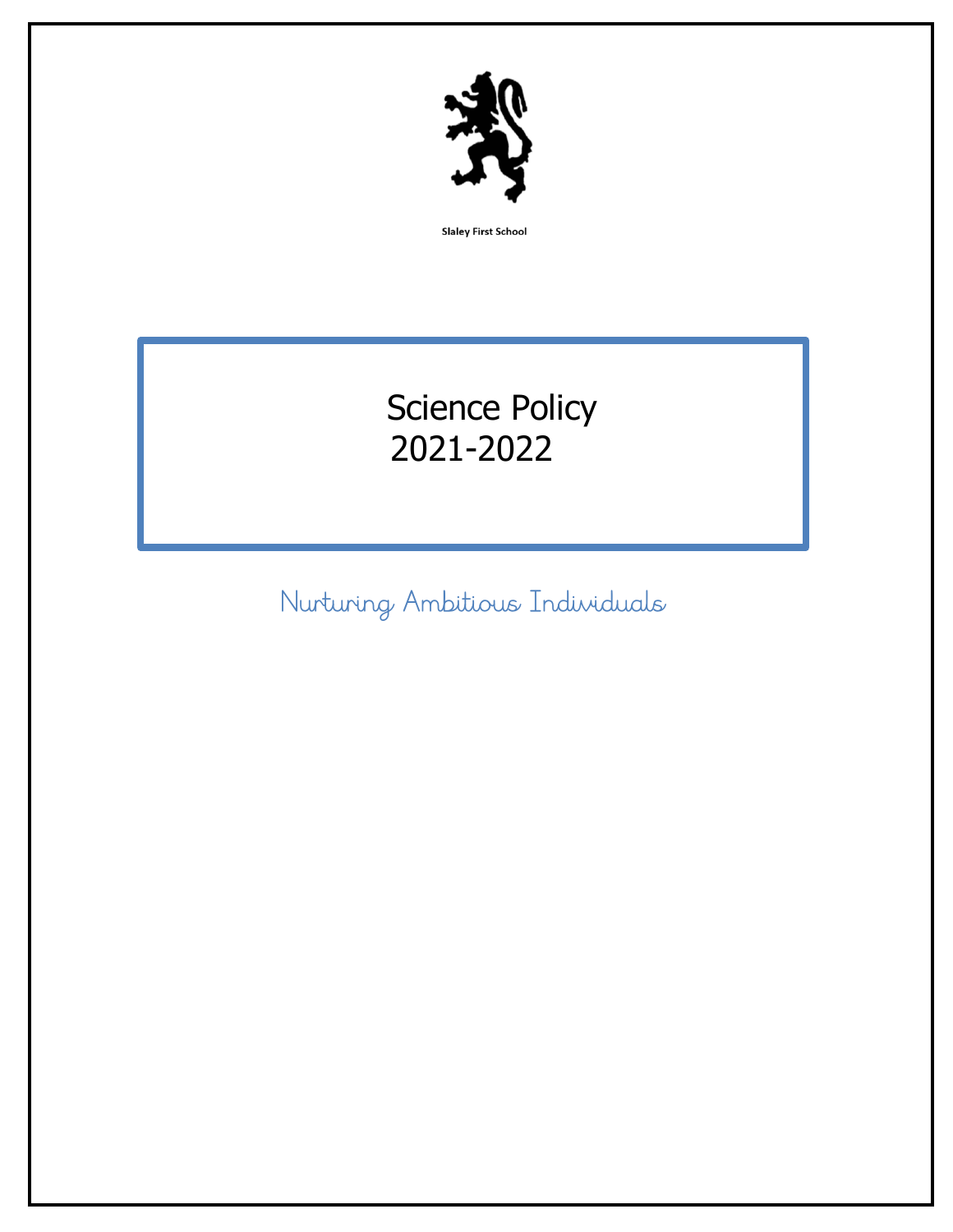

**Slaley First School** 

# Science Policy 2021-2022

Nurturing Ambitious Individuals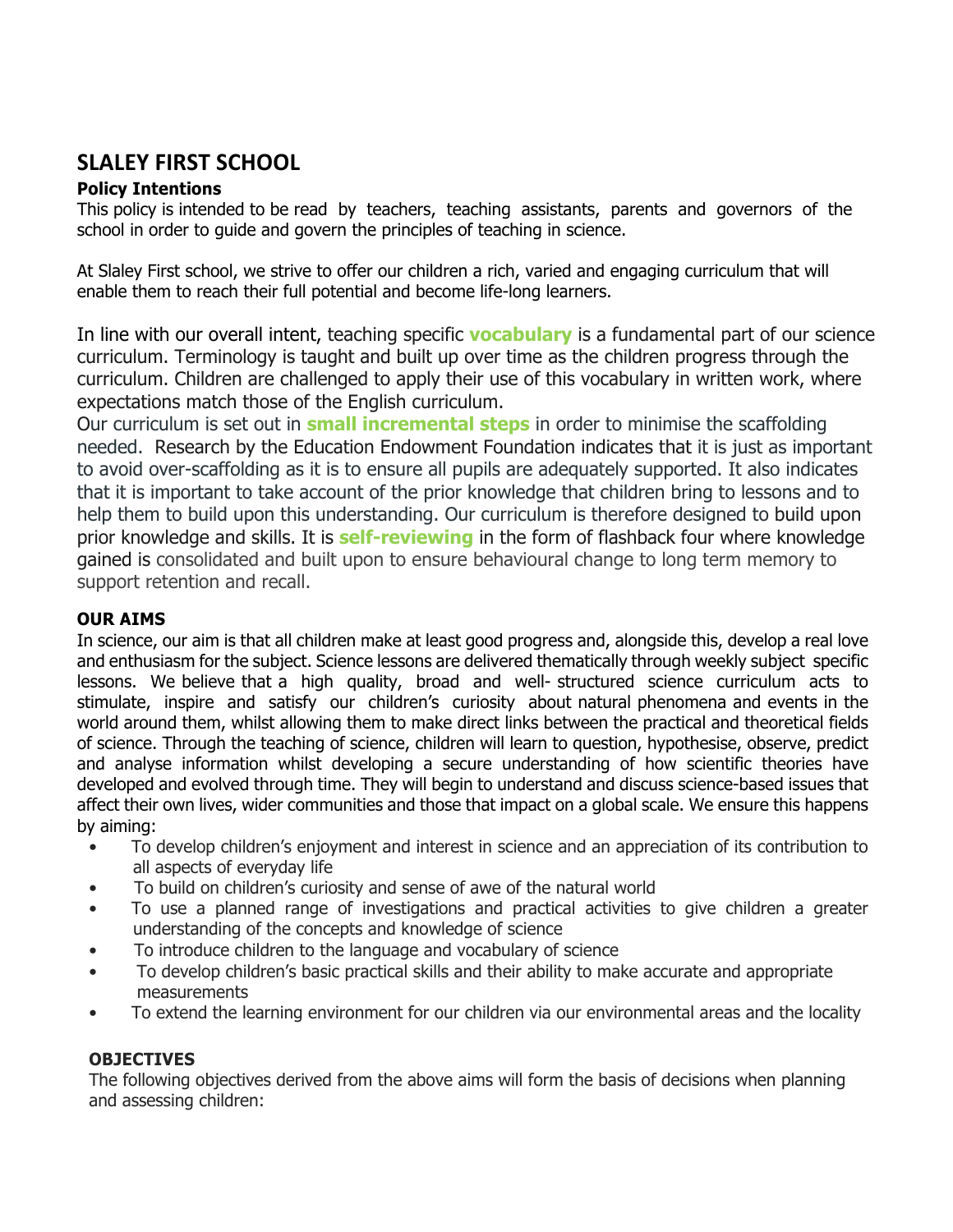### **SLALEY FIRST SCHOOL**

#### **Policy Intentions**

This policy is intended to be read by teachers, teaching assistants, parents and governors of the school in order to guide and govern the principles of teaching in science.

At Slaley First school, we strive to offer our children a rich, varied and engaging curriculum that will enable them to reach their full potential and become life-long learners.

In line with our overall intent, teaching specific **vocabulary** is a fundamental part of our science curriculum. Terminology is taught and built up over time as the children progress through the curriculum. Children are challenged to apply their use of this vocabulary in written work, where expectations match those of the English curriculum.

Our curriculum is set out in **small incremental steps** in order to minimise the scaffolding needed. Research by the Education Endowment Foundation indicates that it is just as important to avoid over-scaffolding as it is to ensure all pupils are adequately supported. It also indicates that it is important to take account of the prior knowledge that children bring to lessons and to help them to build upon this understanding. Our curriculum is therefore designed to build upon prior knowledge and skills. It is **self-reviewing** in the form of flashback four where knowledge gained is consolidated and built upon to ensure behavioural change to long term memory to support retention and recall.

#### **OUR AIMS**

In science, our aim is that all children make at least good progress and, alongside this, develop a real love and enthusiasm for the subject. Science lessons are delivered thematically through weekly subject specific lessons. We believe that a high quality, broad and well- structured science curriculum acts to stimulate, inspire and satisfy our children's curiosity about natural phenomena and events in the world around them, whilst allowing them to make direct links between the practical and theoretical fields of science. Through the teaching of science, children will learn to question, hypothesise, observe, predict and analyse information whilst developing a secure understanding of how scientific theories have developed and evolved through time. They will begin to understand and discuss science-based issues that affect their own lives, wider communities and those that impact on a global scale. We ensure this happens by aiming:

- To develop children's enjoyment and interest in science and an appreciation of its contribution to all aspects of everyday life
- To build on children's curiosity and sense of awe of the natural world
- To use a planned range of investigations and practical activities to give children a greater understanding of the concepts and knowledge of science
- To introduce children to the language and vocabulary of science
- To develop children's basic practical skills and their ability to make accurate and appropriate measurements
- To extend the learning environment for our children via our environmental areas and the locality

#### **OBJECTIVES**

The following objectives derived from the above aims will form the basis of decisions when planning and assessing children: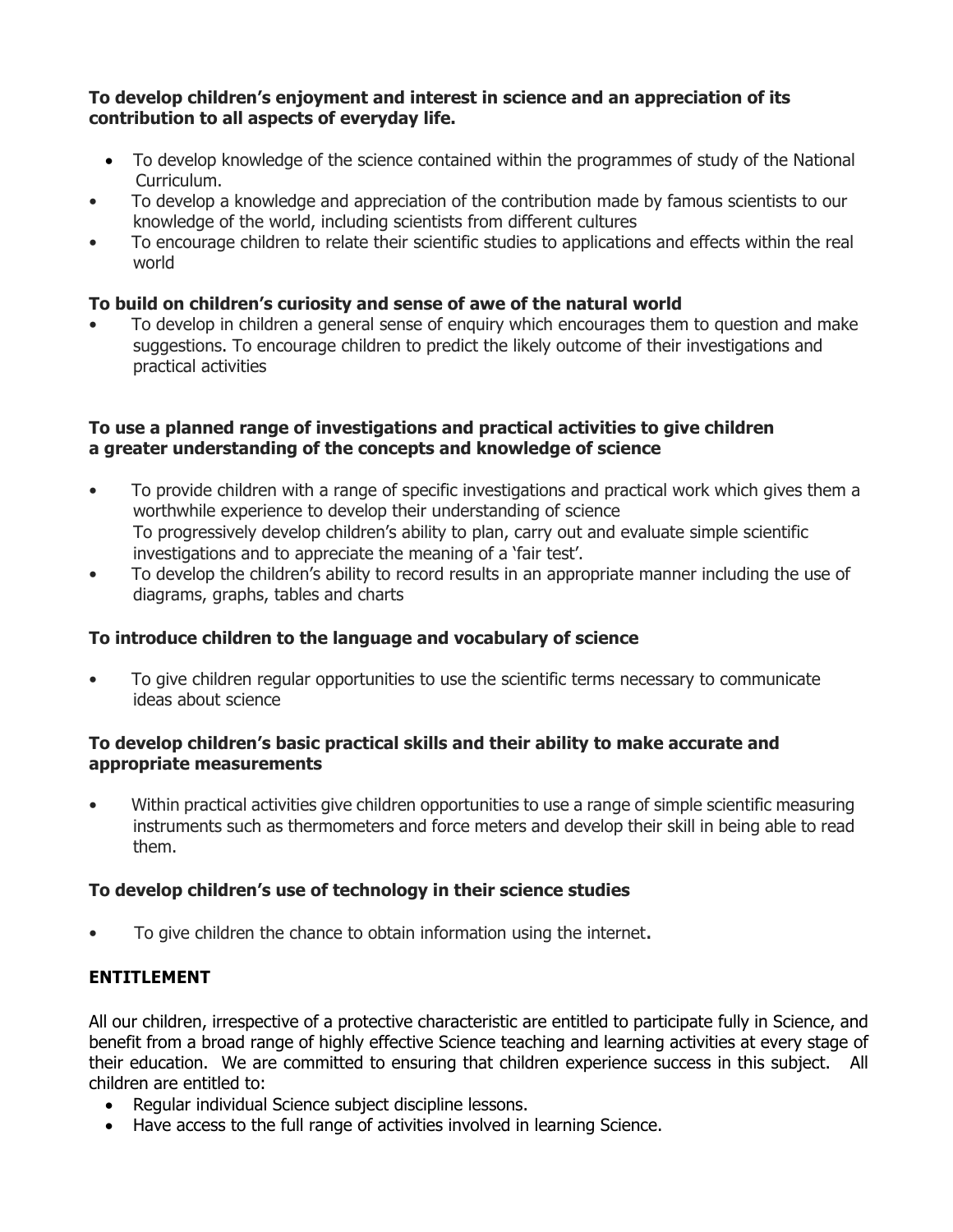#### **To develop children's enjoyment and interest in science and an appreciation of its contribution to all aspects of everyday life.**

- To develop knowledge of the science contained within the programmes of study of the National Curriculum.
- To develop a knowledge and appreciation of the contribution made by famous scientists to our knowledge of the world, including scientists from different cultures
- To encourage children to relate their scientific studies to applications and effects within the real world

#### **To build on children's curiosity and sense of awe of the natural world**

• To develop in children a general sense of enquiry which encourages them to question and make suggestions. To encourage children to predict the likely outcome of their investigations and practical activities

#### **To use a planned range of investigations and practical activities to give children a greater understanding of the concepts and knowledge of science**

- To provide children with a range of specific investigations and practical work which gives them a worthwhile experience to develop their understanding of science To progressively develop children's ability to plan, carry out and evaluate simple scientific investigations and to appreciate the meaning of a 'fair test'.
- To develop the children's ability to record results in an appropriate manner including the use of diagrams, graphs, tables and charts

#### **To introduce children to the language and vocabulary of science**

• To give children regular opportunities to use the scientific terms necessary to communicate ideas about science

#### **To develop children's basic practical skills and their ability to make accurate and appropriate measurements**

• Within practical activities give children opportunities to use a range of simple scientific measuring instruments such as thermometers and force meters and develop their skill in being able to read them.

#### **To develop children's use of technology in their science studies**

• To give children the chance to obtain information using the internet.

#### **ENTITLEMENT**

All our children, irrespective of a protective characteristic are entitled to participate fully in Science, and benefit from a broad range of highly effective Science teaching and learning activities at every stage of their education. We are committed to ensuring that children experience success in this subject. All children are entitled to:

- Regular individual Science subject discipline lessons.
- Have access to the full range of activities involved in learning Science.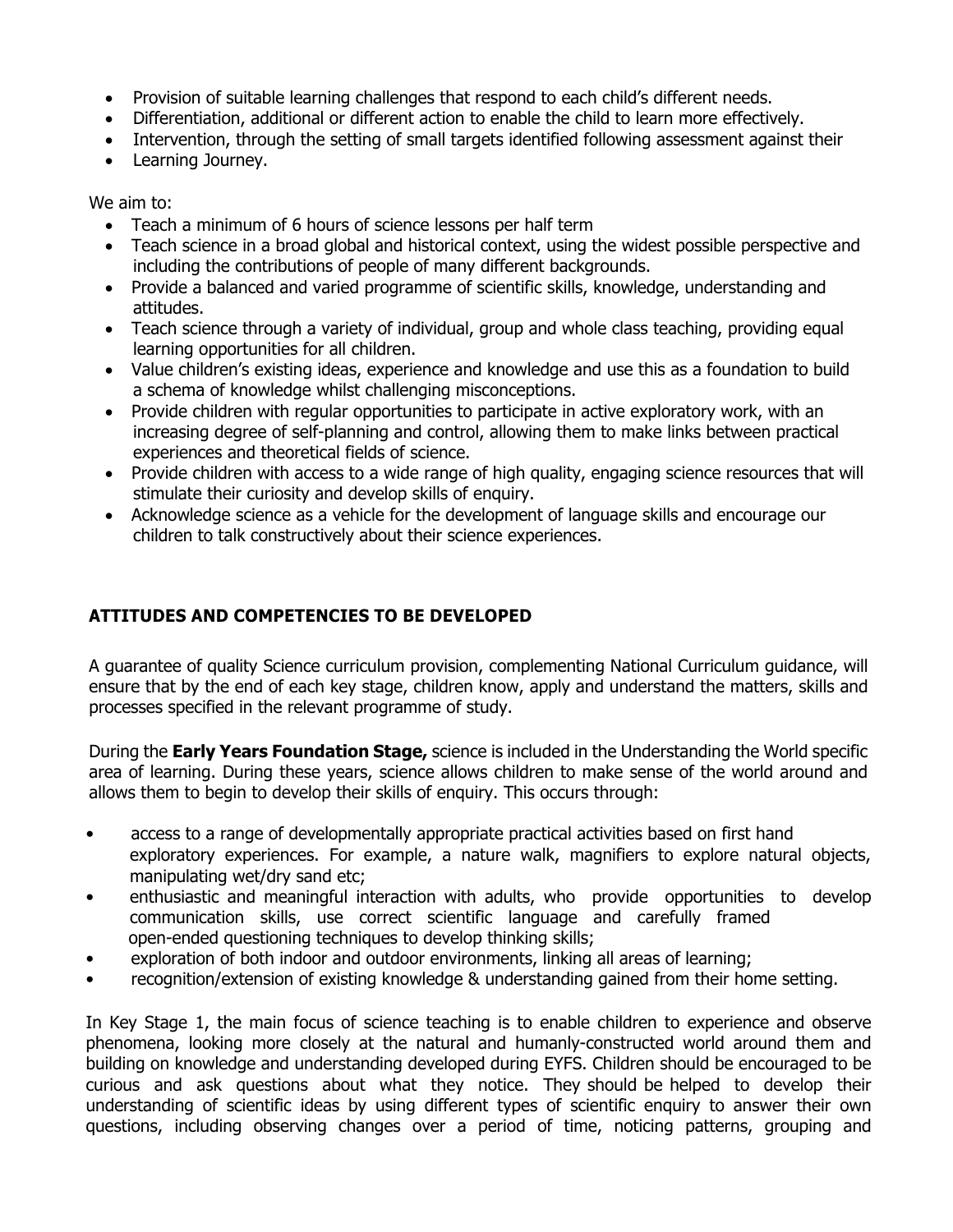- Provision of suitable learning challenges that respond to each child's different needs.
- Differentiation, additional or different action to enable the child to learn more effectively.
- Intervention, through the setting of small targets identified following assessment against their
- Learning Journey.

We aim to:

- Teach a minimum of 6 hours of science lessons per half term
- Teach science in a broad global and historical context, using the widest possible perspective and including the contributions of people of many different backgrounds.
- Provide a balanced and varied programme of scientific skills, knowledge, understanding and attitudes.
- Teach science through a variety of individual, group and whole class teaching, providing equal learning opportunities for all children.
- Value children's existing ideas, experience and knowledge and use this as a foundation to build a schema of knowledge whilst challenging misconceptions.
- Provide children with regular opportunities to participate in active exploratory work, with an increasing degree of self-planning and control, allowing them to make links between practical experiences and theoretical fields of science.
- Provide children with access to a wide range of high quality, engaging science resources that will stimulate their curiosity and develop skills of enquiry.
- Acknowledge science as a vehicle for the development of language skills and encourage our children to talk constructively about their science experiences.

#### **ATTITUDES AND COMPETENCIES TO BE DEVELOPED**

A guarantee of quality Science curriculum provision, complementing National Curriculum guidance, will ensure that by the end of each key stage, children know, apply and understand the matters, skills and processes specified in the relevant programme of study.

During the **Early Years Foundation Stage,** science is included in the Understanding the World specific area of learning. During these years, science allows children to make sense of the world around and allows them to begin to develop their skills of enquiry. This occurs through:

- access to a range of developmentally appropriate practical activities based on first hand exploratory experiences. For example, a nature walk, magnifiers to explore natural objects, manipulating wet/dry sand etc;
- enthusiastic and meaningful interaction with adults, who provide opportunities to develop communication skills, use correct scientific language and carefully framed open-ended questioning techniques to develop thinking skills;
- exploration of both indoor and outdoor environments, linking all areas of learning;
- recognition/extension of existing knowledge & understanding gained from their home setting.

In Key Stage 1, the main focus of science teaching is to enable children to experience and observe phenomena, looking more closely at the natural and humanly-constructed world around them and building on knowledge and understanding developed during EYFS. Children should be encouraged to be curious and ask questions about what they notice. They should be helped to develop their understanding of scientific ideas by using different types of scientific enquiry to answer their own questions, including observing changes over a period of time, noticing patterns, grouping and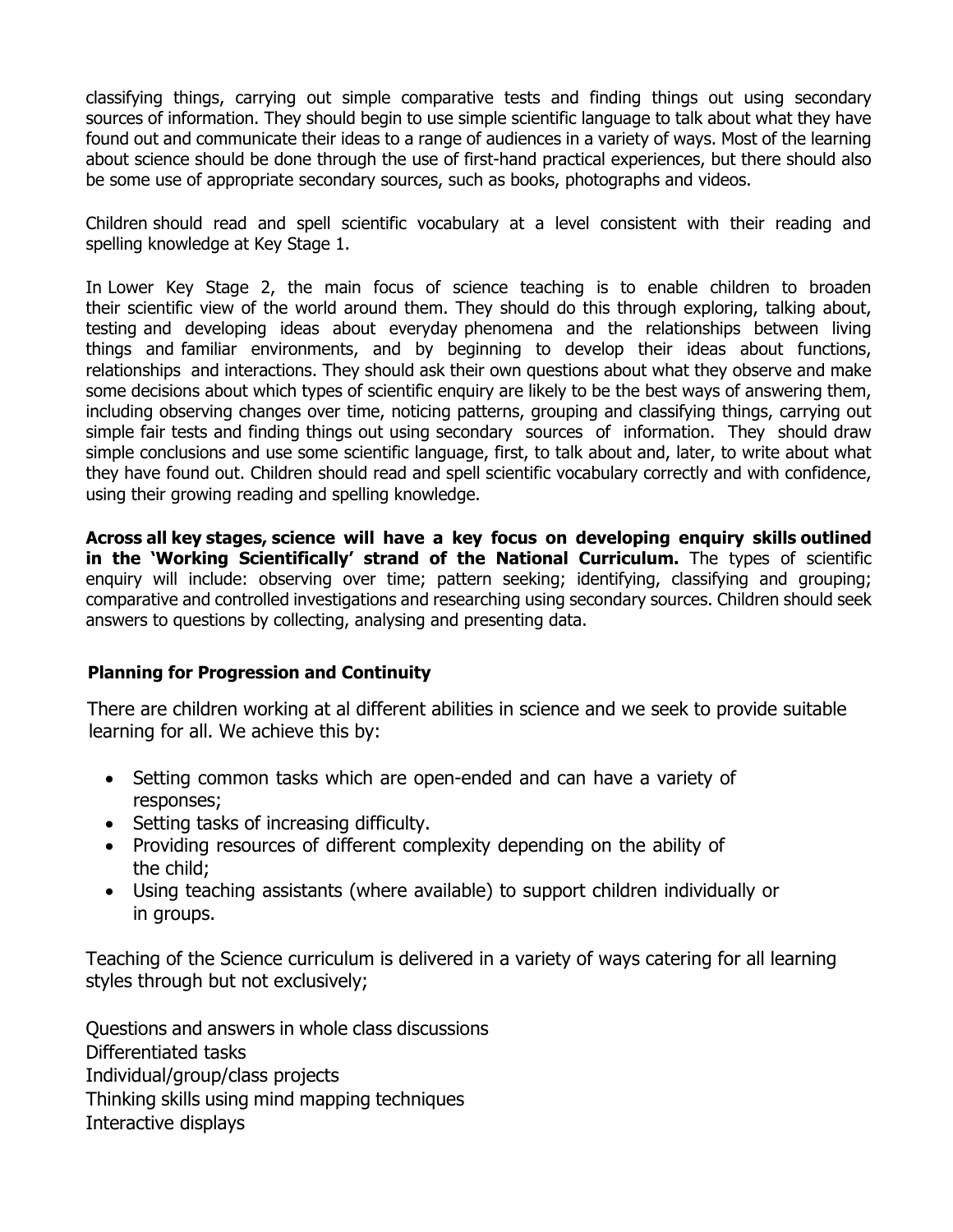classifying things, carrying out simple comparative tests and finding things out using secondary sources of information. They should begin to use simple scientific language to talk about what they have found out and communicate their ideas to a range of audiences in a variety of ways. Most of the learning about science should be done through the use of first-hand practical experiences, but there should also be some use of appropriate secondary sources, such as books, photographs and videos.

Children should read and spell scientific vocabulary at a level consistent with their reading and spelling knowledge at Key Stage 1.

In Lower Key Stage 2, the main focus of science teaching is to enable children to broaden their scientific view of the world around them. They should do this through exploring, talking about, testing and developing ideas about everyday phenomena and the relationships between living things and familiar environments, and by beginning to develop their ideas about functions, relationships and interactions. They should ask their own questions about what they observe and make some decisions about which types of scientific enquiry are likely to be the best ways of answering them, including observing changes over time, noticing patterns, grouping and classifying things, carrying out simple fair tests and finding things out using secondary sources of information. They should draw simple conclusions and use some scientific language, first, to talk about and, later, to write about what they have found out. Children should read and spell scientific vocabulary correctly and with confidence, using their growing reading and spelling knowledge.

**Across all key stages, science will have a key focus on developing enquiry skills outlined in the 'Working Scientifically' strand of the National Curriculum.** The types of scientific enquiry will include: observing over time; pattern seeking; identifying, classifying and grouping; comparative and controlled investigations and researching using secondary sources. Children should seek answers to questions by collecting, analysing and presenting data.

#### **Planning for Progression and Continuity**

There are children working at al different abilities in science and we seek to provide suitable learning for all. We achieve this by:

- Setting common tasks which are open-ended and can have a variety of responses;
- Setting tasks of increasing difficulty.
- Providing resources of different complexity depending on the ability of the child;
- Using teaching assistants (where available) to support children individually or in groups.

Teaching of the Science curriculum is delivered in a variety of ways catering for all learning styles through but not exclusively;

Questions and answers in whole class discussions Differentiated tasks Individual/group/class projects Thinking skills using mind mapping techniques Interactive displays